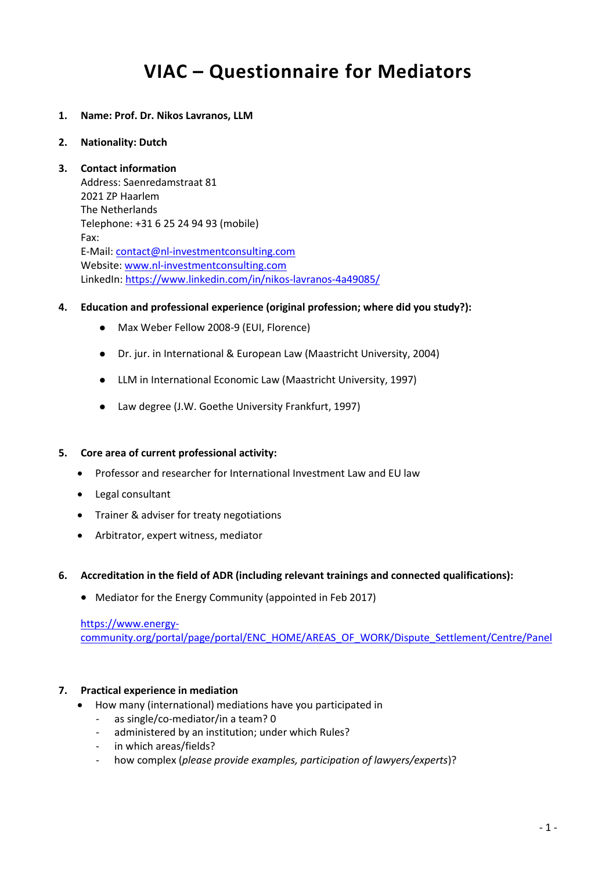# **VIAC – Questionnaire for Mediators**

- **1. Name: Prof. Dr. Nikos Lavranos, LLM**
- **2. Nationality: Dutch**

## **3. Contact information**

Address: Saenredamstraat 81 2021 ZP Haarlem The Netherlands Telephone: +31 6 25 24 94 93 (mobile) Fax: E-Mail: [contact@nl-investmentconsulting.com](mailto:contact@nl-investmentconsulting.com) Website[: www.nl-investmentconsulting.com](http://www.nl-investmentconsulting.com/) LinkedIn:<https://www.linkedin.com/in/nikos-lavranos-4a49085/>

- **4. Education and professional experience (original profession; where did you study?):**
	- Max Weber Fellow 2008-9 (EUI, Florence)
	- Dr. jur. in International & European Law (Maastricht University, 2004)
	- LLM in International Economic Law (Maastricht University, 1997)
	- Law degree (J.W. Goethe University Frankfurt, 1997)

## **5. Core area of current professional activity:**

- Professor and researcher for International Investment Law and EU law
- Legal consultant
- Trainer & adviser for treaty negotiations
- Arbitrator, expert witness, mediator

## **6. Accreditation in the field of ADR (including relevant trainings and connected qualifications):**

• Mediator for the Energy Community (appointed in Feb 2017)

# [https://www.energy-](https://www.energy-community.org/portal/page/portal/ENC_HOME/AREAS_OF_WORK/Dispute_Settlement/Centre/Panel)

[community.org/portal/page/portal/ENC\\_HOME/AREAS\\_OF\\_WORK/Dispute\\_Settlement/Centre/Panel](https://www.energy-community.org/portal/page/portal/ENC_HOME/AREAS_OF_WORK/Dispute_Settlement/Centre/Panel)

# **7. Practical experience in mediation**

- How many (international) mediations have you participated in
	- as single/co-mediator/in a team? 0
	- administered by an institution; under which Rules?
	- in which areas/fields?
	- how complex (*please provide examples, participation of lawyers/experts*)?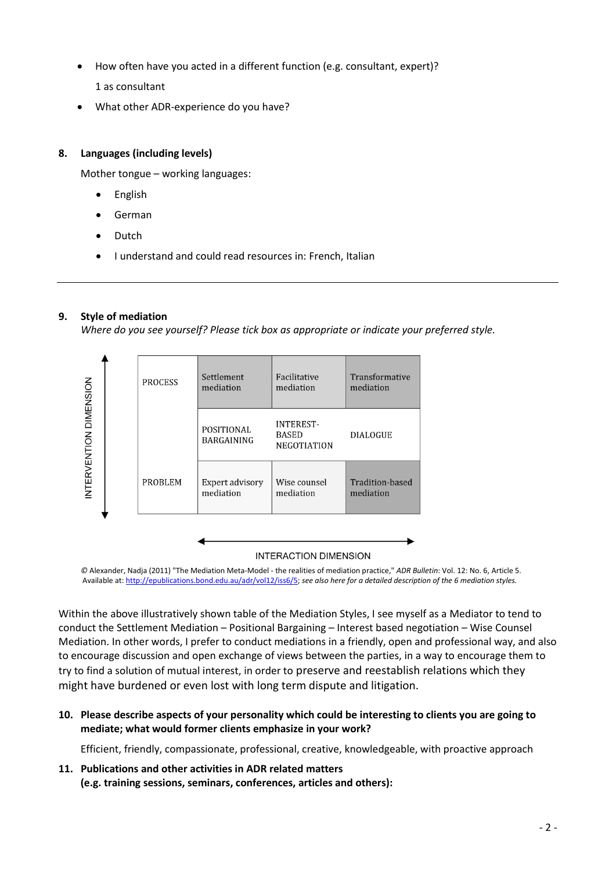- How often have you acted in a different function (e.g. consultant, expert)? 1 as consultant
- What other ADR-experience do you have?

# **8. Languages (including levels)**

Mother tongue – working languages:

- English
- German
- Dutch
- I understand and could read resources in: French, Italian

# **9. Style of mediation**

*Where do you see yourself? Please tick box as appropriate or indicate your preferred style.*



## **INTERACTION DIMENSION**

*©* Alexander, Nadja (2011) "The Mediation Meta-Model - the realities of mediation practice," *ADR Bulletin*: Vol. 12: No. 6, Article 5. Available at[: http://epublications.bond.edu.au/adr/vol12/iss6/5;](http://epublications.bond.edu.au/adr/vol12/iss6/5) *see also here for a detailed description of the 6 mediation styles.*

Within the above illustratively shown table of the Mediation Styles, I see myself as a Mediator to tend to conduct the Settlement Mediation – Positional Bargaining – Interest based negotiation – Wise Counsel Mediation. In other words, I prefer to conduct mediations in a friendly, open and professional way, and also to encourage discussion and open exchange of views between the parties, in a way to encourage them to try to find a solution of mutual interest, in order to preserve and reestablish relations which they might have burdened or even lost with long term dispute and litigation.

**10. Please describe aspects of your personality which could be interesting to clients you are going to mediate; what would former clients emphasize in your work?**

Efficient, friendly, compassionate, professional, creative, knowledgeable, with proactive approach

**11. Publications and other activities in ADR related matters (e.g. training sessions, seminars, conferences, articles and others):**